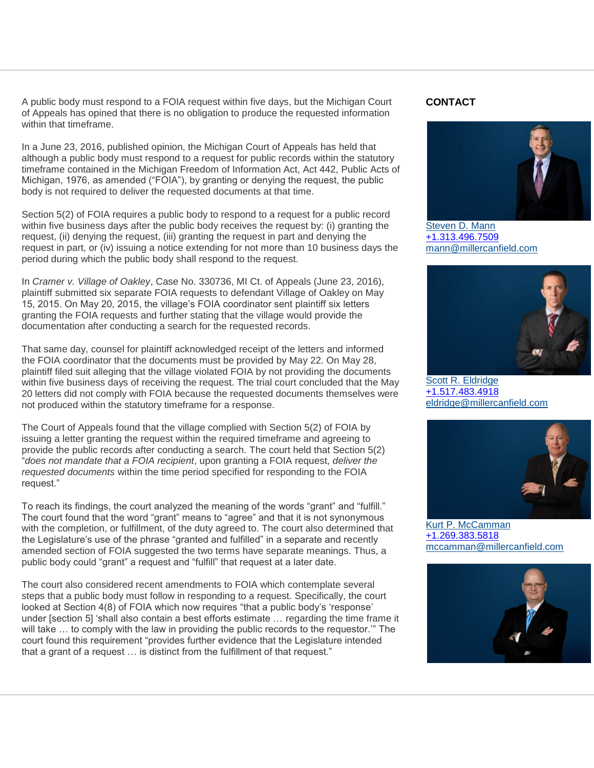A public body must respond to a FOIA request within five days, but the Michigan Court of Appeals has opined that there is no obligation to produce the requested information within that timeframe.

In a June 23, 2016, published opinion, the Michigan Court of Appeals has held that although a public body must respond to a request for public records within the statutory timeframe contained in the Michigan Freedom of Information Act, Act 442, Public Acts of Michigan, 1976, as amended ("FOIA"), by granting or denying the request, the public body is not required to deliver the requested documents at that time.

Section 5(2) of FOIA requires a public body to respond to a request for a public record within five business days after the public body receives the request by: (i) granting the request, (ii) denying the request, (iii) granting the request in part and denying the request in part, or (iv) issuing a notice extending for not more than 10 business days the period during which the public body shall respond to the request.

In *Cramer v. Village of Oakley*, Case No. 330736, MI Ct. of Appeals (June 23, 2016), plaintiff submitted six separate FOIA requests to defendant Village of Oakley on May 15, 2015. On May 20, 2015, the village"s FOIA coordinator sent plaintiff six letters granting the FOIA requests and further stating that the village would provide the documentation after conducting a search for the requested records.

That same day, counsel for plaintiff acknowledged receipt of the letters and informed the FOIA coordinator that the documents must be provided by May 22. On May 28, plaintiff filed suit alleging that the village violated FOIA by not providing the documents within five business days of receiving the request. The trial court concluded that the May 20 letters did not comply with FOIA because the requested documents themselves were not produced within the statutory timeframe for a response.

The Court of Appeals found that the village complied with Section 5(2) of FOIA by issuing a letter granting the request within the required timeframe and agreeing to provide the public records after conducting a search. The court held that Section 5(2) "*does not mandate that a FOIA recipient*, upon granting a FOIA request, *deliver the requested documents* within the time period specified for responding to the FOIA request."

To reach its findings, the court analyzed the meaning of the words "grant" and "fulfill." The court found that the word "grant" means to "agree" and that it is not synonymous with the completion, or fulfillment, of the duty agreed to. The court also determined that the Legislature's use of the phrase "granted and fulfilled" in a separate and recently amended section of FOIA suggested the two terms have separate meanings. Thus, a public body could "grant" a request and "fulfill" that request at a later date.

The court also considered recent amendments to FOIA which contemplate several steps that a public body must follow in responding to a request. Specifically, the court looked at Section 4(8) of FOIA which now requires "that a public body's 'response' under [section 5] "shall also contain a best efforts estimate … regarding the time frame it will take … to comply with the law in providing the public records to the requestor."" The court found this requirement "provides further evidence that the Legislature intended that a grant of a request … is distinct from the fulfillment of that request."

## **CONTACT**



[Steven D. Mann](http://www.millercanfield.com/stevenmann) [+1.313.496.7509](tel:%2B1.313.496.7509) [mann@millercanfield.com](mailto:mann@millercanfield.com)



[Scott R. Eldridge](http://www.millercanfield.com/ScottEldridge) [+1.517.483.4918](tel:%2B1.517.483.4918) [eldridge@millercanfield.com](mailto:eldridge@millercanfield.com)



[Kurt P. McCamman](http://www.millercanfield.com/KurtMcCamman) [+1.269.383.5818](tel:%2B1.269.383.5818) [mccamman@millercanfield.com](mailto:mccamman@millercanfield.com)